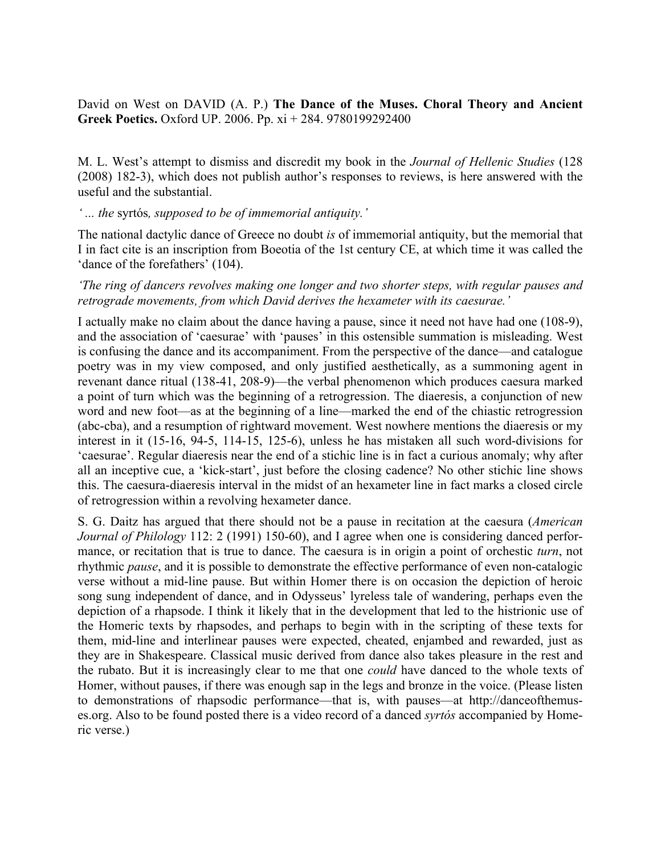David on West on DAVID (A. P.) **The Dance of the Muses. Choral Theory and Ancient Greek Poetics.** Oxford UP. 2006. Pp. xi + 284. 9780199292400

M. L. West's attempt to dismiss and discredit my book in the *Journal of Hellenic Studies* (128 (2008) 182-3), which does not publish author's responses to reviews, is here answered with the useful and the substantial.

### *' ... the* syrtós*, supposed to be of immemorial antiquity.'*

The national dactylic dance of Greece no doubt *is* of immemorial antiquity, but the memorial that I in fact cite is an inscription from Boeotia of the 1st century CE, at which time it was called the 'dance of the forefathers' (104).

## *'The ring of dancers revolves making one longer and two shorter steps, with regular pauses and retrograde movements, from which David derives the hexameter with its caesurae.'*

I actually make no claim about the dance having a pause, since it need not have had one (108-9), and the association of 'caesurae' with 'pauses' in this ostensible summation is misleading. West is confusing the dance and its accompaniment. From the perspective of the dance—and catalogue poetry was in my view composed, and only justified aesthetically, as a summoning agent in revenant dance ritual (138-41, 208-9)—the verbal phenomenon which produces caesura marked a point of turn which was the beginning of a retrogression. The diaeresis, a conjunction of new word and new foot—as at the beginning of a line—marked the end of the chiastic retrogression (abc-cba), and a resumption of rightward movement. West nowhere mentions the diaeresis or my interest in it (15-16, 94-5, 114-15, 125-6), unless he has mistaken all such word-divisions for 'caesurae'. Regular diaeresis near the end of a stichic line is in fact a curious anomaly; why after all an inceptive cue, a 'kick-start', just before the closing cadence? No other stichic line shows this. The caesura-diaeresis interval in the midst of an hexameter line in fact marks a closed circle of retrogression within a revolving hexameter dance.

S. G. Daitz has argued that there should not be a pause in recitation at the caesura (*American Journal of Philology* 112: 2 (1991) 150-60), and I agree when one is considering danced performance, or recitation that is true to dance. The caesura is in origin a point of orchestic *turn*, not rhythmic *pause*, and it is possible to demonstrate the effective performance of even non-catalogic verse without a mid-line pause. But within Homer there is on occasion the depiction of heroic song sung independent of dance, and in Odysseus' lyreless tale of wandering, perhaps even the depiction of a rhapsode. I think it likely that in the development that led to the histrionic use of the Homeric texts by rhapsodes, and perhaps to begin with in the scripting of these texts for them, mid-line and interlinear pauses were expected, cheated, enjambed and rewarded, just as they are in Shakespeare. Classical music derived from dance also takes pleasure in the rest and the rubato. But it is increasingly clear to me that one *could* have danced to the whole texts of Homer, without pauses, if there was enough sap in the legs and bronze in the voice. (Please listen to demonstrations of rhapsodic performance—that is, with pauses—at http://danceofthemuses.org. Also to be found posted there is a video record of a danced *syrtós* accompanied by Homeric verse.)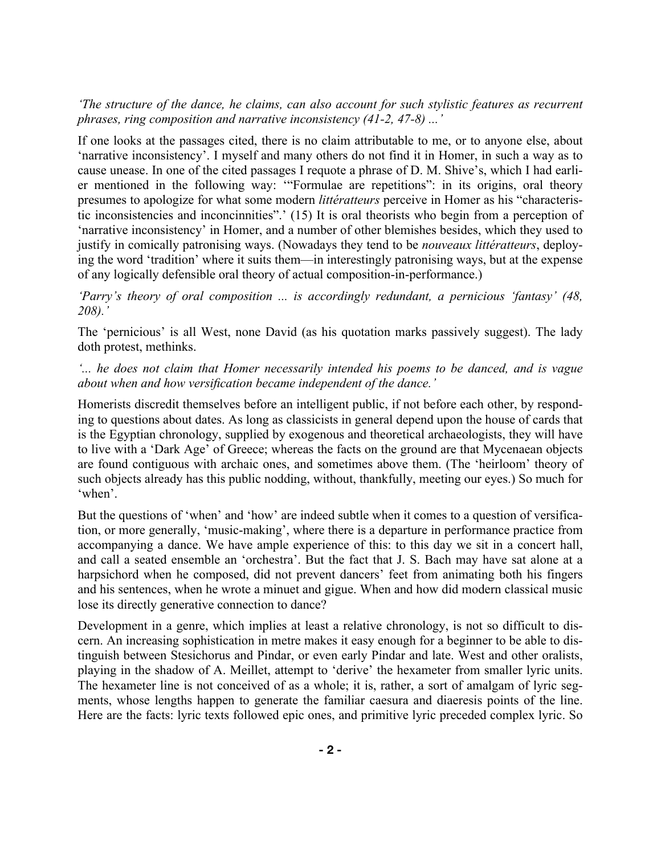*'The structure of the dance, he claims, can also account for such stylistic features as recurrent phrases, ring composition and narrative inconsistency (41-2, 47-8) ...'*

If one looks at the passages cited, there is no claim attributable to me, or to anyone else, about 'narrative inconsistency'. I myself and many others do not find it in Homer, in such a way as to cause unease. In one of the cited passages I requote a phrase of D. M. Shive's, which I had earlier mentioned in the following way: '"Formulae are repetitions": in its origins, oral theory presumes to apologize for what some modern *littératteurs* perceive in Homer as his "characteristic inconsistencies and inconcinnities".' (15) It is oral theorists who begin from a perception of 'narrative inconsistency' in Homer, and a number of other blemishes besides, which they used to justify in comically patronising ways. (Nowadays they tend to be *nouveaux littératteurs*, deploying the word 'tradition' where it suits them—in interestingly patronising ways, but at the expense of any logically defensible oral theory of actual composition-in-performance.)

*'Parry's theory of oral composition ... is accordingly redundant, a pernicious 'fantasy' (48, 208).'*

The 'pernicious' is all West, none David (as his quotation marks passively suggest). The lady doth protest, methinks.

*'... he does not claim that Homer necessarily intended his poems to be danced, and is vague about when and how versification became independent of the dance.'*

Homerists discredit themselves before an intelligent public, if not before each other, by responding to questions about dates. As long as classicists in general depend upon the house of cards that is the Egyptian chronology, supplied by exogenous and theoretical archaeologists, they will have to live with a 'Dark Age' of Greece; whereas the facts on the ground are that Mycenaean objects are found contiguous with archaic ones, and sometimes above them. (The 'heirloom' theory of such objects already has this public nodding, without, thankfully, meeting our eyes.) So much for 'when'.

But the questions of 'when' and 'how' are indeed subtle when it comes to a question of versification, or more generally, 'music-making', where there is a departure in performance practice from accompanying a dance. We have ample experience of this: to this day we sit in a concert hall, and call a seated ensemble an 'orchestra'. But the fact that J. S. Bach may have sat alone at a harpsichord when he composed, did not prevent dancers' feet from animating both his fingers and his sentences, when he wrote a minuet and gigue. When and how did modern classical music lose its directly generative connection to dance?

Development in a genre, which implies at least a relative chronology, is not so difficult to discern. An increasing sophistication in metre makes it easy enough for a beginner to be able to distinguish between Stesichorus and Pindar, or even early Pindar and late. West and other oralists, playing in the shadow of A. Meillet, attempt to 'derive' the hexameter from smaller lyric units. The hexameter line is not conceived of as a whole; it is, rather, a sort of amalgam of lyric segments, whose lengths happen to generate the familiar caesura and diaeresis points of the line. Here are the facts: lyric texts followed epic ones, and primitive lyric preceded complex lyric. So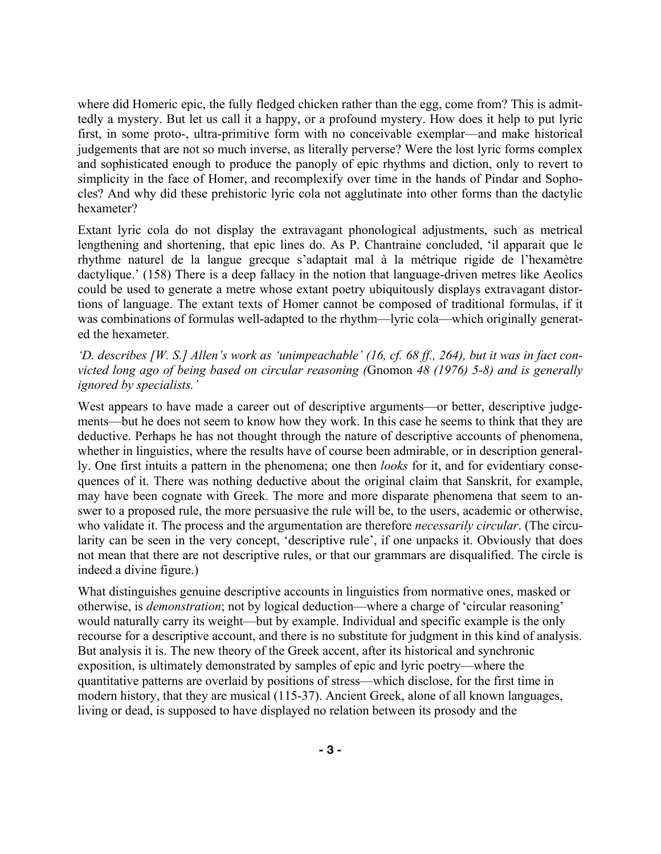where did Homeric epic, the fully fledged chicken rather than the egg, come from? This is admittedly a mystery. But let us call it a happy, or a profound mystery. How does it help to put lyric first, in some proto-, ultra-primitive form with no conceivable exemplar—and make historical judgements that are not so much inverse, as literally perverse? Were the lost lyric forms complex and sophisticated enough to produce the panoply of epic rhythms and diction, only to revert to simplicity in the face of Homer, and recomplexify over time in the hands of Pindar and Sophocles? And why did these prehistoric lyric cola not agglutinate into other forms than the dactylic hexameter?

Extant lyric cola do not display the extravagant phonological adjustments, such as metrical lengthening and shortening, that epic lines do. As P. Chantraine concluded, 'il apparait que le rhythme naturel de la langue grecque s'adaptait mal à la métrique rigide de l'hexamètre dactylique.' (158) There is a deep fallacy in the notion that language-driven metres like Aeolics could be used to generate a metre whose extant poetry ubiquitously displays extravagant distortions of language. The extant texts of Homer cannot be composed of traditional formulas, if it was combinations of formulas well-adapted to the rhythm—lyric cola—which originally generated the hexameter.

'D. describes [W. S.] Allen's work as 'unimpeachable' (16, cf. 68 ff., 264), but it was in fact con*victed long ago of being based on circular reasoning (*Gnomon *48 (1976) 5-8) and is generally ignored by specialists.'*

West appears to have made a career out of descriptive arguments—or better, descriptive judgements—but he does not seem to know how they work. In this case he seems to think that they are deductive. Perhaps he has not thought through the nature of descriptive accounts of phenomena, whether in linguistics, where the results have of course been admirable, or in description generally. One first intuits a pattern in the phenomena; one then *looks* for it, and for evidentiary consequences of it. There was nothing deductive about the original claim that Sanskrit, for example, may have been cognate with Greek. The more and more disparate phenomena that seem to answer to a proposed rule, the more persuasive the rule will be, to the users, academic or otherwise, who validate it. The process and the argumentation are therefore *necessarily circular*. (The circularity can be seen in the very concept, 'descriptive rule', if one unpacks it. Obviously that does not mean that there are not descriptive rules, or that our grammars are disqualified. The circle is indeed a divine figure.)

What distinguishes genuine descriptive accounts in linguistics from normative ones, masked or otherwise, is *demonstration*; not by logical deduction—where a charge of 'circular reasoning' would naturally carry its weight—but by example. Individual and specific example is the only recourse for a descriptive account, and there is no substitute for judgment in this kind of analysis. But analysis it is. The new theory of the Greek accent, after its historical and synchronic exposition, is ultimately demonstrated by samples of epic and lyric poetry—where the quantitative patterns are overlaid by positions of stress—which disclose, for the first time in modern history, that they are musical (115-37). Ancient Greek, alone of all known languages, living or dead, is supposed to have displayed no relation between its prosody and the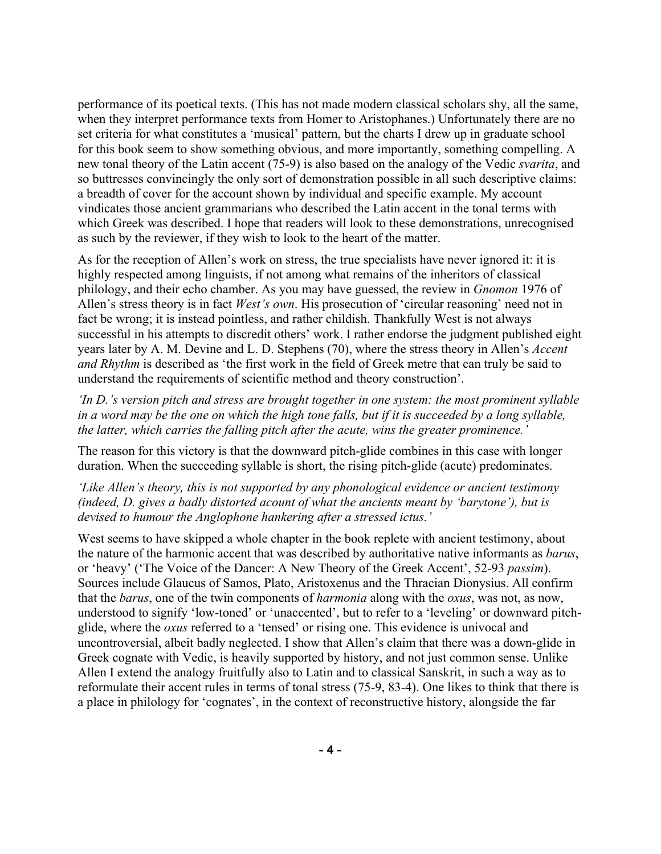performance of its poetical texts. (This has not made modern classical scholars shy, all the same, when they interpret performance texts from Homer to Aristophanes.) Unfortunately there are no set criteria for what constitutes a 'musical' pattern, but the charts I drew up in graduate school for this book seem to show something obvious, and more importantly, something compelling. A new tonal theory of the Latin accent (75-9) is also based on the analogy of the Vedic *svarita*, and so buttresses convincingly the only sort of demonstration possible in all such descriptive claims: a breadth of cover for the account shown by individual and specific example. My account vindicates those ancient grammarians who described the Latin accent in the tonal terms with which Greek was described. I hope that readers will look to these demonstrations, unrecognised as such by the reviewer, if they wish to look to the heart of the matter.

As for the reception of Allen's work on stress, the true specialists have never ignored it: it is highly respected among linguists, if not among what remains of the inheritors of classical philology, and their echo chamber. As you may have guessed, the review in *Gnomon* 1976 of Allen's stress theory is in fact *West's own*. His prosecution of 'circular reasoning' need not in fact be wrong; it is instead pointless, and rather childish. Thankfully West is not always successful in his attempts to discredit others' work. I rather endorse the judgment published eight years later by A. M. Devine and L. D. Stephens (70), where the stress theory in Allen's *Accent and Rhythm* is described as 'the first work in the field of Greek metre that can truly be said to understand the requirements of scientific method and theory construction'.

*'In D.'s version pitch and stress are brought together in one system: the most prominent syllable in a word may be the one on which the high tone falls, but if it is succeeded by a long syllable, the latter, which carries the falling pitch after the acute, wins the greater prominence.'*

The reason for this victory is that the downward pitch-glide combines in this case with longer duration. When the succeeding syllable is short, the rising pitch-glide (acute) predominates.

*'Like Allen's theory, this is not supported by any phonological evidence or ancient testimony (indeed, D. gives a badly distorted acount of what the ancients meant by 'barytone'), but is devised to humour the Anglophone hankering after a stressed ictus.'*

West seems to have skipped a whole chapter in the book replete with ancient testimony, about the nature of the harmonic accent that was described by authoritative native informants as *barus*, or 'heavy' ('The Voice of the Dancer: A New Theory of the Greek Accent', 52-93 *passim*). Sources include Glaucus of Samos, Plato, Aristoxenus and the Thracian Dionysius. All confirm that the *barus*, one of the twin components of *harmonia* along with the *oxus*, was not, as now, understood to signify 'low-toned' or 'unaccented', but to refer to a 'leveling' or downward pitchglide, where the *oxus* referred to a 'tensed' or rising one. This evidence is univocal and uncontroversial, albeit badly neglected. I show that Allen's claim that there was a down-glide in Greek cognate with Vedic, is heavily supported by history, and not just common sense. Unlike Allen I extend the analogy fruitfully also to Latin and to classical Sanskrit, in such a way as to reformulate their accent rules in terms of tonal stress (75-9, 83-4). One likes to think that there is a place in philology for 'cognates', in the context of reconstructive history, alongside the far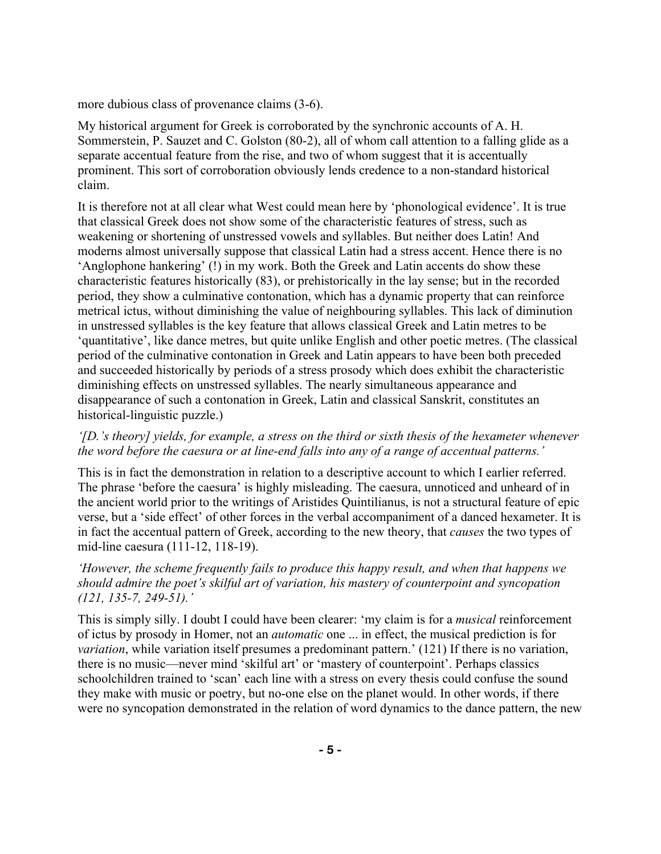more dubious class of provenance claims (3-6).

My historical argument for Greek is corroborated by the synchronic accounts of A. H. Sommerstein, P. Sauzet and C. Golston (80-2), all of whom call attention to a falling glide as a separate accentual feature from the rise, and two of whom suggest that it is accentually prominent. This sort of corroboration obviously lends credence to a non-standard historical claim.

It is therefore not at all clear what West could mean here by 'phonological evidence'. It is true that classical Greek does not show some of the characteristic features of stress, such as weakening or shortening of unstressed vowels and syllables. But neither does Latin! And moderns almost universally suppose that classical Latin had a stress accent. Hence there is no 'Anglophone hankering' (!) in my work. Both the Greek and Latin accents do show these characteristic features historically (83), or prehistorically in the lay sense; but in the recorded period, they show a culminative contonation, which has a dynamic property that can reinforce metrical ictus, without diminishing the value of neighbouring syllables. This lack of diminution in unstressed syllables is the key feature that allows classical Greek and Latin metres to be 'quantitative', like dance metres, but quite unlike English and other poetic metres. (The classical period of the culminative contonation in Greek and Latin appears to have been both preceded and succeeded historically by periods of a stress prosody which does exhibit the characteristic diminishing effects on unstressed syllables. The nearly simultaneous appearance and disappearance of such a contonation in Greek, Latin and classical Sanskrit, constitutes an historical-linguistic puzzle.)

### *'[D.'s theory] yields, for example, a stress on the third or sixth thesis of the hexameter whenever the word before the caesura or at line-end falls into any of a range of accentual patterns.'*

This is in fact the demonstration in relation to a descriptive account to which I earlier referred. The phrase 'before the caesura' is highly misleading. The caesura, unnoticed and unheard of in the ancient world prior to the writings of Aristides Quintilianus, is not a structural feature of epic verse, but a 'side effect' of other forces in the verbal accompaniment of a danced hexameter. It is in fact the accentual pattern of Greek, according to the new theory, that *causes* the two types of mid-line caesura (111-12, 118-19).

# *'However, the scheme frequently fails to produce this happy result, and when that happens we should admire the poet's skilful art of variation, his mastery of counterpoint and syncopation (121, 135-7, 249-51).'*

This is simply silly. I doubt I could have been clearer: 'my claim is for a *musical* reinforcement of ictus by prosody in Homer, not an *automatic* one ... in effect, the musical prediction is for *variation*, while variation itself presumes a predominant pattern.' (121) If there is no variation, there is no music—never mind 'skilful art' or 'mastery of counterpoint'. Perhaps classics schoolchildren trained to 'scan' each line with a stress on every thesis could confuse the sound they make with music or poetry, but no-one else on the planet would. In other words, if there were no syncopation demonstrated in the relation of word dynamics to the dance pattern, the new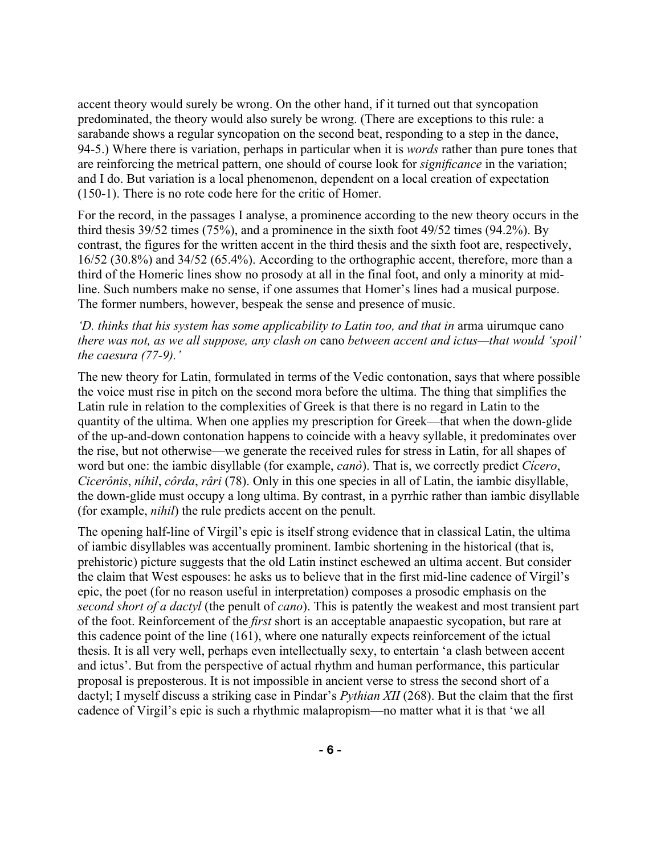accent theory would surely be wrong. On the other hand, if it turned out that syncopation predominated, the theory would also surely be wrong. (There are exceptions to this rule: a sarabande shows a regular syncopation on the second beat, responding to a step in the dance, 94-5.) Where there is variation, perhaps in particular when it is *words* rather than pure tones that are reinforcing the metrical pattern, one should of course look for *significance* in the variation; and I do. But variation is a local phenomenon, dependent on a local creation of expectation (150-1). There is no rote code here for the critic of Homer.

For the record, in the passages I analyse, a prominence according to the new theory occurs in the third thesis 39/52 times (75%), and a prominence in the sixth foot 49/52 times (94.2%). By contrast, the figures for the written accent in the third thesis and the sixth foot are, respectively, 16/52 (30.8%) and 34/52 (65.4%). According to the orthographic accent, therefore, more than a third of the Homeric lines show no prosody at all in the final foot, and only a minority at midline. Such numbers make no sense, if one assumes that Homer's lines had a musical purpose. The former numbers, however, bespeak the sense and presence of music.

### *'D. thinks that his system has some applicability to Latin too, and that in* arma uirumque cano *there was not, as we all suppose, any clash on* cano *between accent and ictus—that would 'spoil' the caesura (77-9).'*

The new theory for Latin, formulated in terms of the Vedic contonation, says that where possible the voice must rise in pitch on the second mora before the ultima. The thing that simplifies the Latin rule in relation to the complexities of Greek is that there is no regard in Latin to the quantity of the ultima. When one applies my prescription for Greek—that when the down-glide of the up-and-down contonation happens to coincide with a heavy syllable, it predominates over the rise, but not otherwise—we generate the received rules for stress in Latin, for all shapes of word but one: the iambic disyllable (for example, *canò*). That is, we correctly predict *Cícero*, *Cicerônis*, *níhil*, *côrda*, *râri* (78). Only in this one species in all of Latin, the iambic disyllable, the down-glide must occupy a long ultima. By contrast, in a pyrrhic rather than iambic disyllable (for example, *nihil*) the rule predicts accent on the penult.

The opening half-line of Virgil's epic is itself strong evidence that in classical Latin, the ultima of iambic disyllables was accentually prominent. Iambic shortening in the historical (that is, prehistoric) picture suggests that the old Latin instinct eschewed an ultima accent. But consider the claim that West espouses: he asks us to believe that in the first mid-line cadence of Virgil's epic, the poet (for no reason useful in interpretation) composes a prosodic emphasis on the *second short of a dactyl* (the penult of *cano*). This is patently the weakest and most transient part of the foot. Reinforcement of the *first* short is an acceptable anapaestic sycopation, but rare at this cadence point of the line (161), where one naturally expects reinforcement of the ictual thesis. It is all very well, perhaps even intellectually sexy, to entertain 'a clash between accent and ictus'. But from the perspective of actual rhythm and human performance, this particular proposal is preposterous. It is not impossible in ancient verse to stress the second short of a dactyl; I myself discuss a striking case in Pindar's *Pythian XII* (268). But the claim that the first cadence of Virgil's epic is such a rhythmic malapropism—no matter what it is that 'we all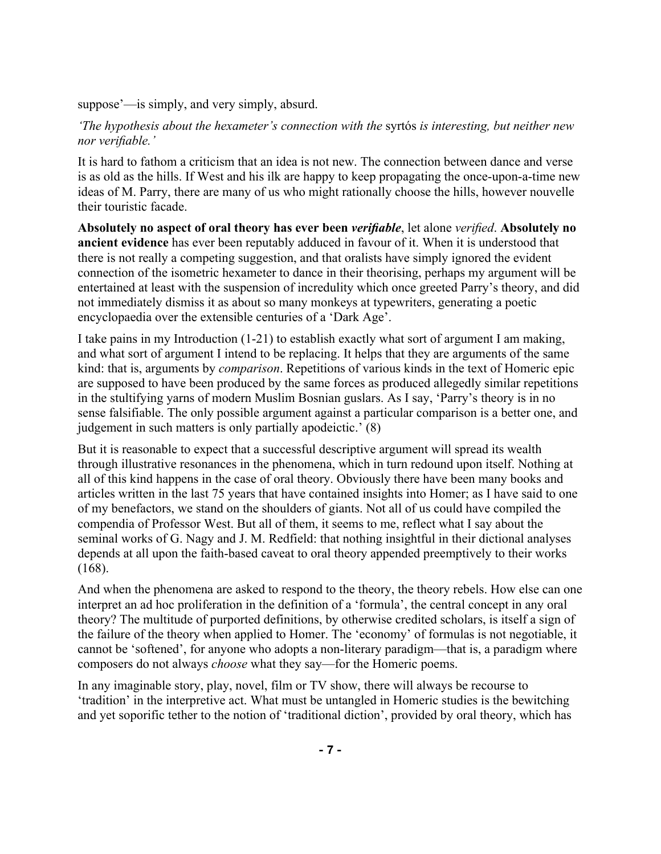suppose'—is simply, and very simply, absurd.

*'The hypothesis about the hexameter's connection with the* syrtós *is interesting, but neither new nor verifiable.'*

It is hard to fathom a criticism that an idea is not new. The connection between dance and verse is as old as the hills. If West and his ilk are happy to keep propagating the once-upon-a-time new ideas of M. Parry, there are many of us who might rationally choose the hills, however nouvelle their touristic facade.

**Absolutely no aspect of oral theory has ever been** *verifiable*, let alone *verified*. **Absolutely no ancient evidence** has ever been reputably adduced in favour of it. When it is understood that there is not really a competing suggestion, and that oralists have simply ignored the evident connection of the isometric hexameter to dance in their theorising, perhaps my argument will be entertained at least with the suspension of incredulity which once greeted Parry's theory, and did not immediately dismiss it as about so many monkeys at typewriters, generating a poetic encyclopaedia over the extensible centuries of a 'Dark Age'.

I take pains in my Introduction (1-21) to establish exactly what sort of argument I am making, and what sort of argument I intend to be replacing. It helps that they are arguments of the same kind: that is, arguments by *comparison*. Repetitions of various kinds in the text of Homeric epic are supposed to have been produced by the same forces as produced allegedly similar repetitions in the stultifying yarns of modern Muslim Bosnian guslars. As I say, 'Parry's theory is in no sense falsifiable. The only possible argument against a particular comparison is a better one, and judgement in such matters is only partially apodeictic.' (8)

But it is reasonable to expect that a successful descriptive argument will spread its wealth through illustrative resonances in the phenomena, which in turn redound upon itself. Nothing at all of this kind happens in the case of oral theory. Obviously there have been many books and articles written in the last 75 years that have contained insights into Homer; as I have said to one of my benefactors, we stand on the shoulders of giants. Not all of us could have compiled the compendia of Professor West. But all of them, it seems to me, reflect what I say about the seminal works of G. Nagy and J. M. Redfield: that nothing insightful in their dictional analyses depends at all upon the faith-based caveat to oral theory appended preemptively to their works (168).

And when the phenomena are asked to respond to the theory, the theory rebels. How else can one interpret an ad hoc proliferation in the definition of a 'formula', the central concept in any oral theory? The multitude of purported definitions, by otherwise credited scholars, is itself a sign of the failure of the theory when applied to Homer. The 'economy' of formulas is not negotiable, it cannot be 'softened', for anyone who adopts a non-literary paradigm—that is, a paradigm where composers do not always *choose* what they say—for the Homeric poems.

In any imaginable story, play, novel, film or TV show, there will always be recourse to 'tradition' in the interpretive act. What must be untangled in Homeric studies is the bewitching and yet soporific tether to the notion of 'traditional diction', provided by oral theory, which has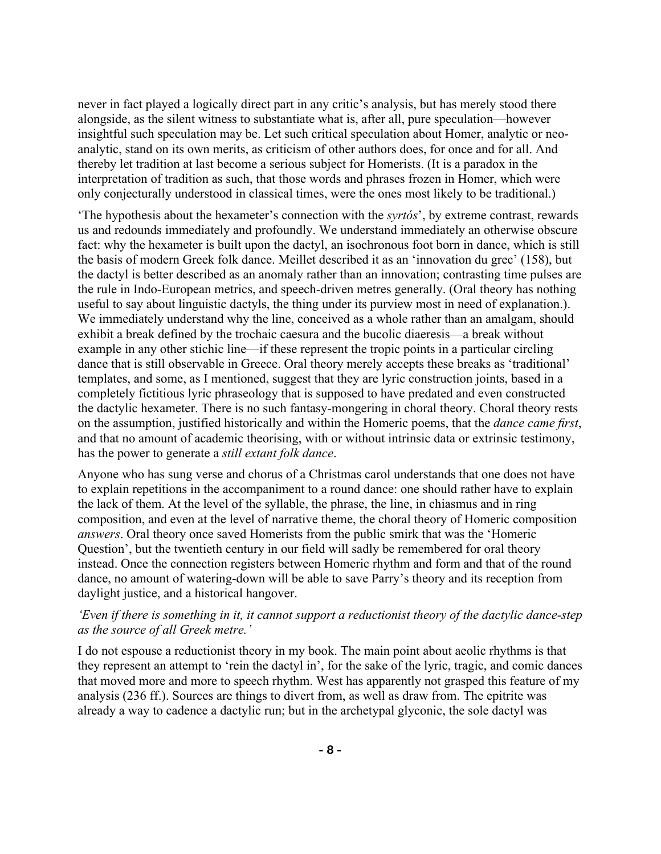never in fact played a logically direct part in any critic's analysis, but has merely stood there alongside, as the silent witness to substantiate what is, after all, pure speculation—however insightful such speculation may be. Let such critical speculation about Homer, analytic or neoanalytic, stand on its own merits, as criticism of other authors does, for once and for all. And thereby let tradition at last become a serious subject for Homerists. (It is a paradox in the interpretation of tradition as such, that those words and phrases frozen in Homer, which were only conjecturally understood in classical times, were the ones most likely to be traditional.)

'The hypothesis about the hexameter's connection with the *syrtós*', by extreme contrast, rewards us and redounds immediately and profoundly. We understand immediately an otherwise obscure fact: why the hexameter is built upon the dactyl, an isochronous foot born in dance, which is still the basis of modern Greek folk dance. Meillet described it as an 'innovation du grec' (158), but the dactyl is better described as an anomaly rather than an innovation; contrasting time pulses are the rule in Indo-European metrics, and speech-driven metres generally. (Oral theory has nothing useful to say about linguistic dactyls, the thing under its purview most in need of explanation.). We immediately understand why the line, conceived as a whole rather than an amalgam, should exhibit a break defined by the trochaic caesura and the bucolic diaeresis—a break without example in any other stichic line—if these represent the tropic points in a particular circling dance that is still observable in Greece. Oral theory merely accepts these breaks as 'traditional' templates, and some, as I mentioned, suggest that they are lyric construction joints, based in a completely fictitious lyric phraseology that is supposed to have predated and even constructed the dactylic hexameter. There is no such fantasy-mongering in choral theory. Choral theory rests on the assumption, justified historically and within the Homeric poems, that the *dance came first*, and that no amount of academic theorising, with or without intrinsic data or extrinsic testimony, has the power to generate a *still extant folk dance*.

Anyone who has sung verse and chorus of a Christmas carol understands that one does not have to explain repetitions in the accompaniment to a round dance: one should rather have to explain the lack of them. At the level of the syllable, the phrase, the line, in chiasmus and in ring composition, and even at the level of narrative theme, the choral theory of Homeric composition *answers*. Oral theory once saved Homerists from the public smirk that was the 'Homeric Question', but the twentieth century in our field will sadly be remembered for oral theory instead. Once the connection registers between Homeric rhythm and form and that of the round dance, no amount of watering-down will be able to save Parry's theory and its reception from daylight justice, and a historical hangover.

### *'Even if there is something in it, it cannot support a reductionist theory of the dactylic dance-step as the source of all Greek metre.'*

I do not espouse a reductionist theory in my book. The main point about aeolic rhythms is that they represent an attempt to 'rein the dactyl in', for the sake of the lyric, tragic, and comic dances that moved more and more to speech rhythm. West has apparently not grasped this feature of my analysis (236 ff.). Sources are things to divert from, as well as draw from. The epitrite was already a way to cadence a dactylic run; but in the archetypal glyconic, the sole dactyl was